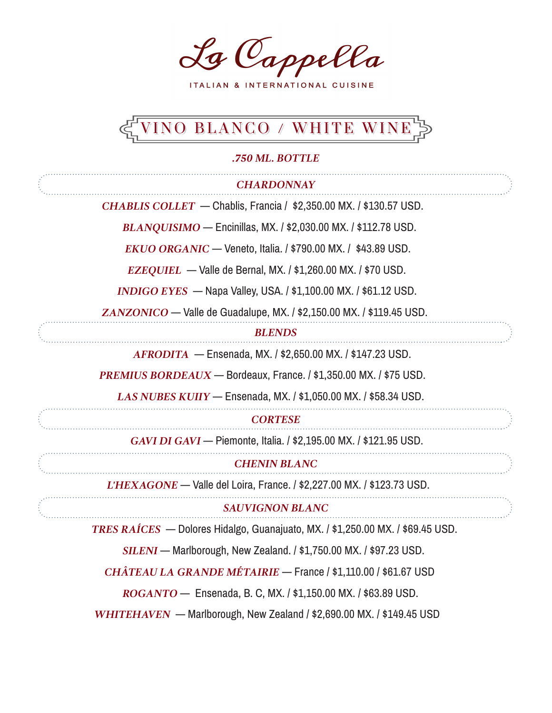La Cappella

ITALIAN & INTERNATIONAL CUISINE

# EVINO BLANCO / WHITE WINES

#### *.750 ML. BOTTLE*

| <b>CHARDONNAY</b>                                                              |  |
|--------------------------------------------------------------------------------|--|
| CHABLIS COLLET — Chablis, Francia / $$2,350.00$ MX. / $$130.57$ USD.           |  |
| <b>BLANQUISIMO</b> — Encinillas, MX. / \$2,030.00 MX. / \$112.78 USD.          |  |
| $EKUO ORGANIC - Veneto, Italia.$ / $$790.00$ MX. / \$43.89 USD.                |  |
| $EZEQUIEL$ — Valle de Bernal, MX. / \$1,260.00 MX. / \$70 USD.                 |  |
| <b>INDIGO EYES</b> — Napa Valley, USA. / \$1,100.00 MX. / \$61.12 USD.         |  |
| ZANZONICO - Valle de Guadalupe, MX. / \$2,150.00 MX. / \$119.45 USD.           |  |
| <b>BLENDS</b>                                                                  |  |
| AFRODITA - Ensenada, MX. / \$2,650.00 MX. / \$147.23 USD.                      |  |
| <b>PREMIUS BORDEAUX</b> — Bordeaux, France. / \$1,350.00 MX. / \$75 USD.       |  |
| LAS NUBES KUIIY - Ensenada, MX. / \$1,050.00 MX. / \$58.34 USD.                |  |
| <b>CORTESE</b>                                                                 |  |
| GAVI DI GAVI - Piemonte, Italia. / \$2,195.00 MX. / \$121.95 USD.              |  |
| <b>CHENIN BLANC</b>                                                            |  |
| L'HEXAGONE - Valle del Loira, France. / \$2,227.00 MX. / \$123.73 USD.         |  |
| <b>SAUVIGNON BLANC</b>                                                         |  |
| TRES RAÍCES — Dolores Hidalgo, Guanajuato, MX. / \$1,250.00 MX. / \$69.45 USD. |  |
| SILENI - Marlborough, New Zealand. / \$1,750.00 MX. / \$97.23 USD.             |  |
| CHÂTEAU LA GRANDE MÉTAIRIE — France / \$1,110.00 / \$61.67 USD                 |  |
| ROGANTO - Ensenada, B. C, MX. / \$1,150.00 MX. / \$63.89 USD.                  |  |
| WHITEHAVEN — Marlborough, New Zealand / \$2,690.00 MX. / \$149.45 USD          |  |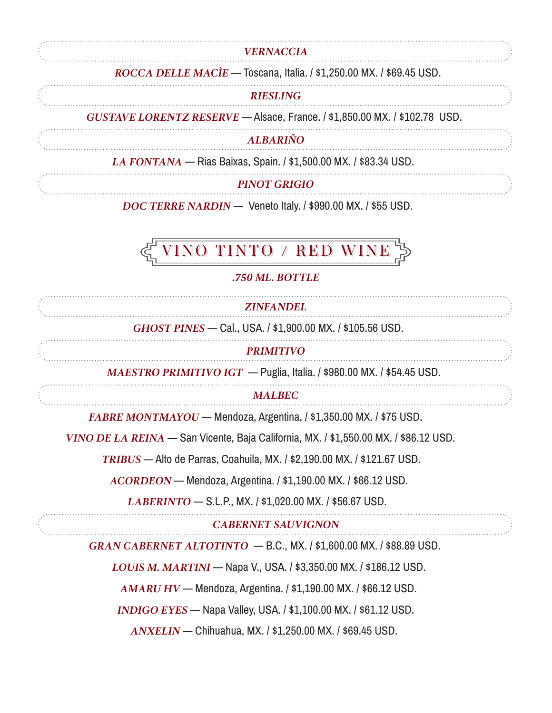#### *VERNACCIA*

#### *ROCCA DELLE MACÌE* — Toscana, Italia. / \$1,250.00 MX. / \$69.45 USD.

#### *RIESLING*

 *GUSTAVE LORENTZ RESERVE* — Alsace, France. / \$1,850.00 MX. / \$102.78 USD.

#### *ALBARIÑO*

 *LA FONTANA* — Rias Baixas, Spain. / \$1,500.00 MX. / \$83.34 USD.

*PINOT GRIGIO*

 *DOC TERRE NARDIN* — Veneto Italy. / \$990.00 MX. / \$55 USD.

## **NINO TINTO / RED WINE**

#### *.750 ML. BOTTLE*

*ZINFANDEL GHOST PINES* — Cal., USA. / \$1,900.00 MX. / \$105.56 USD. *PRIMITIVO MAESTRO PRIMITIVO IGT* — Puglia, Italia. / \$980.00 MX. / \$54.45 USD. *MALBEC FABRE MONTMAYOU* — Mendoza, Argentina. / \$1,350.00 MX. / \$75 USD.  *VINO DE LA REINA* — San Vicente, Baja California, MX. / \$1,550.00 MX. / \$86.12 USD.  *TRIBUS* — Alto de Parras, Coahuila, MX. / \$2,190.00 MX. / \$121.67 USD.  *ACORDEON* — Mendoza, Argentina. / \$1,190.00 MX. / \$66.12 USD.  *LABERINTO* — S.L.P., MX. / \$1,020.00 MX. / \$56.67 USD. *CABERNET SAUVIGNON GRAN CABERNET ALTOTINTO* — B.C., MX. / \$1,600.00 MX. / \$88.89 USD.  *LOUIS M. MARTINI* — Napa V., USA. / \$3,350.00 MX. / \$186.12 USD.  *AMARU HV* — Mendoza, Argentina. / \$1,190.00 MX. / \$66.12 USD.  *INDIGO EYES* — Napa Valley, USA. / \$1,100.00 MX. / \$61.12 USD.  *ANXELIN* — Chihuahua, MX. / \$1,250.00 MX. / \$69.45 USD.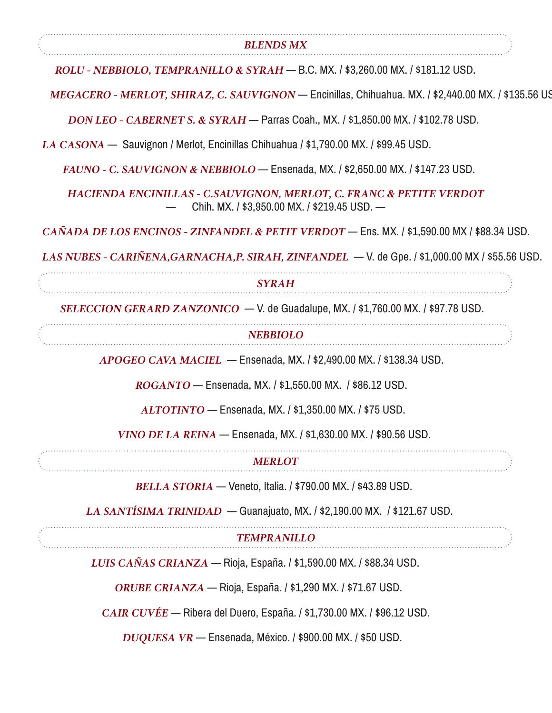| <b>BLENDS MX</b>                                                                                                    |
|---------------------------------------------------------------------------------------------------------------------|
| ROLU - NEBBIOLO, TEMPRANILLO & SYRAH - B.C. MX. / \$3,260.00 MX. / \$181.12 USD.                                    |
| MEGACERO - MERLOT, SHIRAZ, C. SAUVIGNON - Encinillas, Chihuahua. MX. / \$2,440.00 MX. / \$135.56 US                 |
| DON LEO - CABERNET S. & SYRAH - Parras Coah., MX. / \$1,850.00 MX. / \$102.78 USD.                                  |
| $LA CASONA$ Sauvignon / Merlot, Encinillas Chihuahua / \$1,790.00 MX. / \$99.45 USD.                                |
| FAUNO - C. SAUVIGNON & NEBBIOLO - Ensenada, MX. / \$2,650.00 MX. / \$147.23 USD.                                    |
| HACIENDA ENCINILLAS - C.SAUVIGNON, MERLOT, C. FRANC & PETITE VERDOT<br>Chih. MX. / \$3,950.00 MX. / \$219.45 USD. - |
| CAÑADA DE LOS ENCINOS - ZINFANDEL & PETIT VERDOT — Ens. MX. / \$1,590.00 MX / \$88.34 USD.                          |
| LAS NUBES - CARIÑENA, GARNACHA, P. SIRAH, ZINFANDEL - V. de Gpe. / \$1,000.00 MX / \$55.56 USD.                     |
| <b>SYRAH</b>                                                                                                        |
| SELECCION GERARD ZANZONICO $-$ V. de Guadalupe, MX. / \$1,760.00 MX. / \$97.78 USD.                                 |
| <b>NEBBIOLO</b>                                                                                                     |
| $APOGEO CAVA MACIEL$ - Ensenada, MX. / \$2,490.00 MX. / \$138.34 USD.                                               |
| ROGANTO - Ensenada, MX. / \$1,550.00 MX. / \$86.12 USD.                                                             |
| ALTOTINTO - Ensenada, MX. / \$1,350.00 MX. / \$75 USD.                                                              |
| VINO DE LA REINA — Ensenada, MX. / \$1,630.00 MX. / \$90.56 USD.                                                    |
| <b>MERLOT</b>                                                                                                       |
| <b>BELLA STORIA</b> — Veneto, Italia. / \$790.00 MX. / \$43.89 USD.                                                 |
| LA SANTÍSIMA TRINIDAD — Guanajuato, MX. / \$2,190.00 MX. / \$121.67 USD.                                            |
| <b>TEMPRANILLO</b>                                                                                                  |
| LUIS CAÑAS CRIANZA — Rioja, España. / \$1,590.00 MX. / \$88.34 USD.                                                 |
| ORUBE CRIANZA — Rioja, España. / \$1,290 MX. / \$71.67 USD.                                                         |
|                                                                                                                     |
| CAIR CUVÉE — Ribera del Duero, España. / \$1,730.00 MX. / \$96.12 USD.                                              |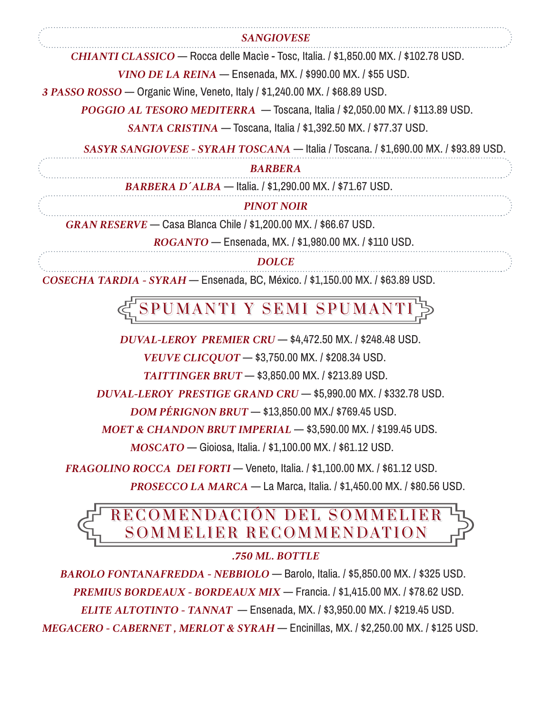#### *SANGIOVESE*

 *CHIANTI CLASSICO* — Rocca delle Macìe - Tosc, Italia. / \$1,850.00 MX. / \$102.78 USD.

 *VINO DE LA REINA* — Ensenada, MX. / \$990.00 MX. / \$55 USD.

*3 PASSO ROSSO* — Organic Wine, Veneto, Italy / \$1,240.00 MX. / \$68.89 USD.

 *POGGIO AL TESORO MEDITERRA* — Toscana, Italia / \$2,050.00 MX. / \$113.89 USD.

 *SANTA CRISTINA* — Toscana, Italia / \$1,392.50 MX. / \$77.37 USD.

 *SASYR SANGIOVESE - SYRAH TOSCANA* — Italia / Toscana. / \$1,690.00 MX. / \$93.89 USD.

#### *BARBERA*

 *BARBERA D´ALBA* — Italia. / \$1,290.00 MX. / \$71.67 USD.

#### *PINOT NOIR*

 *GRAN RESERVE* — Casa Blanca Chile / \$1,200.00 MX. / \$66.67 USD.

 *ROGANTO* — Ensenada, MX. / \$1,980.00 MX. / \$110 USD.

*DOLCE*

*COSECHA TARDIA - SYRAH* — Ensenada, BC, México. / \$1,150.00 MX. / \$63.89 USD.

SPUMANTI Y SEMI SPUMAI

 *DUVAL-LEROY PREMIER CRU* — \$4,472.50 MX. / \$248.48 USD.

 *VEUVE CLICQUOT* — \$3,750.00 MX. / \$208.34 USD.

 *TAITTINGER BRUT* — \$3,850.00 MX. / \$213.89 USD.

 *DUVAL-LEROY PRESTIGE GRAND CRU* — \$5,990.00 MX. / \$332.78 USD.

 *DOM PÉRIGNON BRUT* — \$13,850.00 MX./ \$769.45 USD.

 *MOET & CHANDON BRUT IMPERIAL* — \$3,590.00 MX. / \$199.45 UDS.

 *MOSCATO* — Gioiosa, Italia. / \$1,100.00 MX. / \$61.12 USD.

 *FRAGOLINO ROCCA DEI FORTI* — Veneto, Italia. / \$1,100.00 MX. / \$61.12 USD.

 *PROSECCO LA MARCA* — La Marca, Italia. / \$1,450.00 MX. / \$80.56 USD.

### **FRECOMENDACIÓN DEL SOMMELIER** SOMMELIER RECOMMENDATION

#### *.750 ML. BOTTLE*

 *BAROLO FONTANAFREDDA - NEBBIOLO* — Barolo, Italia. / \$5,850.00 MX. / \$325 USD.  *PREMIUS BORDEAUX - BORDEAUX MIX* — Francia. / \$1,415.00 MX. / \$78.62 USD.  *ELITE ALTOTINTO - TANNAT* — Ensenada, MX. / \$3,950.00 MX. / \$219.45 USD. *MEGACERO - CABERNET , MERLOT & SYRAH* — Encinillas, MX. / \$2,250.00 MX. / \$125 USD.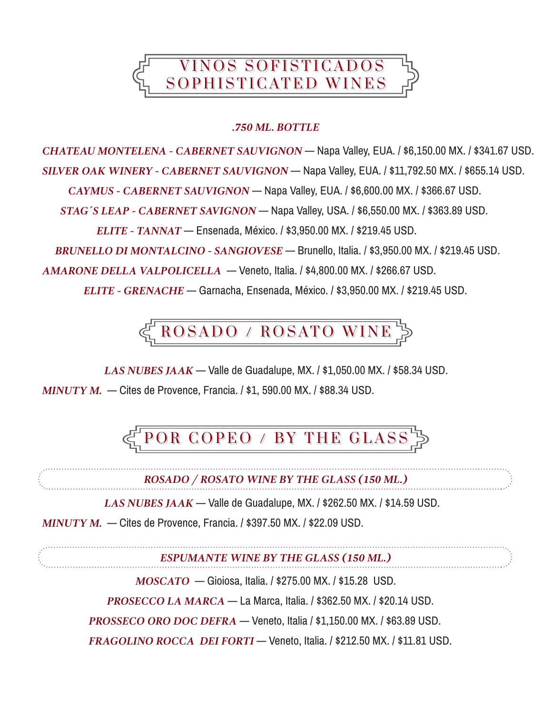

#### *.750 ML. BOTTLE*

*CHATEAU MONTELENA - CABERNET SAUVIGNON* — Napa Valley, EUA. / \$6,150.00 MX. / \$341.67 USD. *SILVER OAK WINERY - CABERNET SAUVIGNON* — Napa Valley, EUA. / \$11,792.50 MX. / \$655.14 USD.

 *CAYMUS - CABERNET SAUVIGNON* — Napa Valley, EUA. / \$6,600.00 MX. / \$366.67 USD.

 *STAG´S LEAP - CABERNET SAVIGNON* — Napa Valley, USA. / \$6,550.00 MX. / \$363.89 USD.

 *ELITE - TANNAT* — Ensenada, México. / \$3,950.00 MX. / \$219.45 USD.

 *BRUNELLO DI MONTALCINO - SANGIOVESE* — Brunello, Italia. / \$3,950.00 MX. / \$219.45 USD.

*AMARONE DELLA VALPOLICELLA* — Veneto, Italia. / \$4,800.00 MX. / \$266.67 USD.

 *ELITE - GRENACHE* — Garnacha, Ensenada, México. / \$3,950.00 MX. / \$219.45 USD.

ROSADO / ROSATO WINE

 *LAS NUBES JAAK* — Valle de Guadalupe, MX. / \$1,050.00 MX. / \$58.34 USD. *MINUTY M.* — Cites de Provence, Francia. / \$1, 590.00 MX. / \$88.34 USD.

POR COPEO / BY THE GLASS  $\triangleright$ 

*ROSADO / ROSATO WINE BY THE GLASS (150 ML.)*

 *LAS NUBES JAAK* — Valle de Guadalupe, MX. / \$262.50 MX. / \$14.59 USD.

*MINUTY M.* — Cites de Provence, Francia. / \$397.50 MX. / \$22.09 USD.

*ESPUMANTE WINE BY THE GLASS (150 ML.)*

 *MOSCATO* — Gioiosa, Italia. / \$275.00 MX. / \$15.28 USD.

 *PROSECCO LA MARCA* — La Marca, Italia. / \$362.50 MX. / \$20.14 USD.

 *PROSSECO ORO DOC DEFRA* — Veneto, Italia / \$1,150.00 MX. / \$63.89 USD.

*FRAGOLINO ROCCA DEI FORTI* — Veneto, Italia. / \$212.50 MX. / \$11.81 USD.